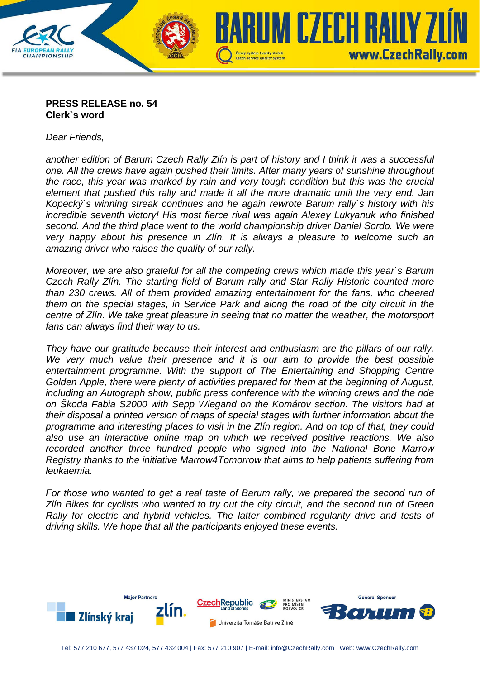

## **PRESS RELEASE no. 54 Clerk`s word**

*Dear Friends,* 

*another edition of Barum Czech Rally Zlín is part of history and I think it was a successful one. All the crews have again pushed their limits. After many years of sunshine throughout the race, this year was marked by rain and very tough condition but this was the crucial element that pushed this rally and made it all the more dramatic until the very end. Jan Kopecký`s winning streak continues and he again rewrote Barum rally`s history with his incredible seventh victory! His most fierce rival was again Alexey Lukyanuk who finished second. And the third place went to the world championship driver Daniel Sordo. We were very happy about his presence in Zlín. It is always a pleasure to welcome such an amazing driver who raises the quality of our rally.* 

*Moreover, we are also grateful for all the competing crews which made this year`s Barum Czech Rally Zlín. The starting field of Barum rally and Star Rally Historic counted more than 230 crews. All of them provided amazing entertainment for the fans, who cheered them on the special stages, in Service Park and along the road of the city circuit in the centre of Zlín. We take great pleasure in seeing that no matter the weather, the motorsport fans can always find their way to us.* 

*They have our gratitude because their interest and enthusiasm are the pillars of our rally.*  We very much value their presence and it is our aim to provide the best possible entertainment programme. With the support of The Entertaining and Shopping Centre *Golden Apple, there were plenty of activities prepared for them at the beginning of August, including an Autograph show, public press conference with the winning crews and the ride on Škoda Fabia S2000 with Sepp Wiegand on the Komárov section. The visitors had at their disposal a printed version of maps of special stages with further information about the programme and interesting places to visit in the Zlín region. And on top of that, they could also use an interactive online map on which we received positive reactions. We also recorded another three hundred people who signed into the National Bone Marrow Registry thanks to the initiative Marrow4Tomorrow that aims to help patients suffering from leukaemia.* 

*For those who wanted to get a real taste of Barum rally, we prepared the second run of Zlín Bikes for cyclists who wanted to try out the city circuit, and the second run of Green Rally for electric and hybrid vehicles. The latter combined regularity drive and tests of driving skills. We hope that all the participants enjoyed these events.*